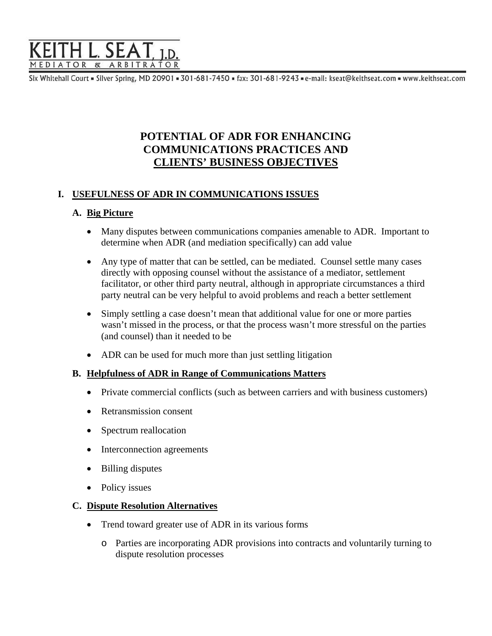

Six Whitehall Court = Silver Spring, MD 20901 = 301-681-7450 = fax: 301-681-9243 = e-mail: kseat@keithseat.com = www.keithseat.com

# **POTENTIAL OF ADR FOR ENHANCING COMMUNICATIONS PRACTICES AND CLIENTS' BUSINESS OBJECTIVES**

### **I. USEFULNESS OF ADR IN COMMUNICATIONS ISSUES**

#### **A. Big Picture**

- Many disputes between communications companies amenable to ADR. Important to determine when ADR (and mediation specifically) can add value
- Any type of matter that can be settled, can be mediated. Counsel settle many cases directly with opposing counsel without the assistance of a mediator, settlement facilitator, or other third party neutral, although in appropriate circumstances a third party neutral can be very helpful to avoid problems and reach a better settlement
- Simply settling a case doesn't mean that additional value for one or more parties wasn't missed in the process, or that the process wasn't more stressful on the parties (and counsel) than it needed to be
- ADR can be used for much more than just settling litigation

### **B. Helpfulness of ADR in Range of Communications Matters**

- Private commercial conflicts (such as between carriers and with business customers)
- Retransmission consent
- Spectrum reallocation
- Interconnection agreements
- Billing disputes
- Policy issues

#### **C. Dispute Resolution Alternatives**

- Trend toward greater use of ADR in its various forms
	- o Parties are incorporating ADR provisions into contracts and voluntarily turning to dispute resolution processes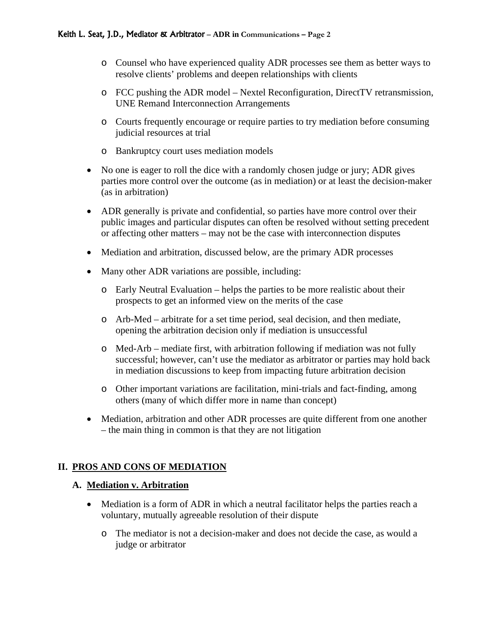- o Counsel who have experienced quality ADR processes see them as better ways to resolve clients' problems and deepen relationships with clients
- o FCC pushing the ADR model Nextel Reconfiguration, DirectTV retransmission, UNE Remand Interconnection Arrangements
- o Courts frequently encourage or require parties to try mediation before consuming judicial resources at trial
- o Bankruptcy court uses mediation models
- No one is eager to roll the dice with a randomly chosen judge or jury; ADR gives parties more control over the outcome (as in mediation) or at least the decision-maker (as in arbitration)
- ADR generally is private and confidential, so parties have more control over their public images and particular disputes can often be resolved without setting precedent or affecting other matters – may not be the case with interconnection disputes
- Mediation and arbitration, discussed below, are the primary ADR processes
- Many other ADR variations are possible, including:
	- $\circ$  Early Neutral Evaluation helps the parties to be more realistic about their prospects to get an informed view on the merits of the case
	- o Arb-Med arbitrate for a set time period, seal decision, and then mediate, opening the arbitration decision only if mediation is unsuccessful
	- o Med-Arb mediate first, with arbitration following if mediation was not fully successful; however, can't use the mediator as arbitrator or parties may hold back in mediation discussions to keep from impacting future arbitration decision
	- o Other important variations are facilitation, mini-trials and fact-finding, among others (many of which differ more in name than concept)
- Mediation, arbitration and other ADR processes are quite different from one another – the main thing in common is that they are not litigation

## **II. PROS AND CONS OF MEDIATION**

#### **A. Mediation v. Arbitration**

- Mediation is a form of ADR in which a neutral facilitator helps the parties reach a voluntary, mutually agreeable resolution of their dispute
	- o The mediator is not a decision-maker and does not decide the case, as would a judge or arbitrator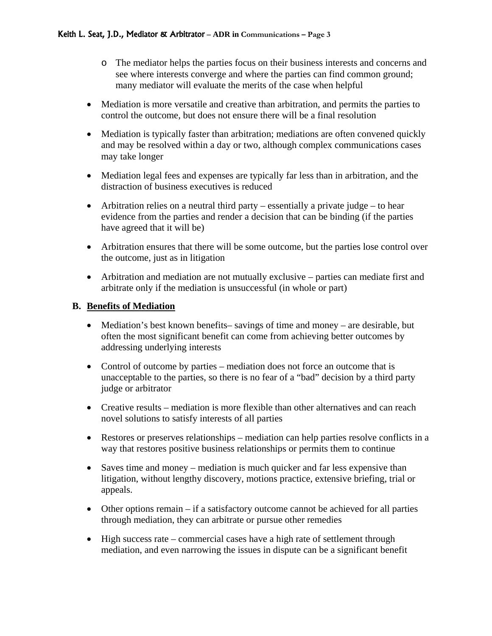- o The mediator helps the parties focus on their business interests and concerns and see where interests converge and where the parties can find common ground; many mediator will evaluate the merits of the case when helpful
- Mediation is more versatile and creative than arbitration, and permits the parties to control the outcome, but does not ensure there will be a final resolution
- Mediation is typically faster than arbitration; mediations are often convened quickly and may be resolved within a day or two, although complex communications cases may take longer
- Mediation legal fees and expenses are typically far less than in arbitration, and the distraction of business executives is reduced
- Arbitration relies on a neutral third party essentially a private judge to hear evidence from the parties and render a decision that can be binding (if the parties have agreed that it will be)
- Arbitration ensures that there will be some outcome, but the parties lose control over the outcome, just as in litigation
- Arbitration and mediation are not mutually exclusive parties can mediate first and arbitrate only if the mediation is unsuccessful (in whole or part)

### **B. Benefits of Mediation**

- Mediation's best known benefits– savings of time and money are desirable, but often the most significant benefit can come from achieving better outcomes by addressing underlying interests
- Control of outcome by parties mediation does not force an outcome that is unacceptable to the parties, so there is no fear of a "bad" decision by a third party judge or arbitrator
- Creative results mediation is more flexible than other alternatives and can reach novel solutions to satisfy interests of all parties
- Restores or preserves relationships mediation can help parties resolve conflicts in a way that restores positive business relationships or permits them to continue
- Saves time and money mediation is much quicker and far less expensive than litigation, without lengthy discovery, motions practice, extensive briefing, trial or appeals.
- Other options remain if a satisfactory outcome cannot be achieved for all parties through mediation, they can arbitrate or pursue other remedies
- High success rate commercial cases have a high rate of settlement through mediation, and even narrowing the issues in dispute can be a significant benefit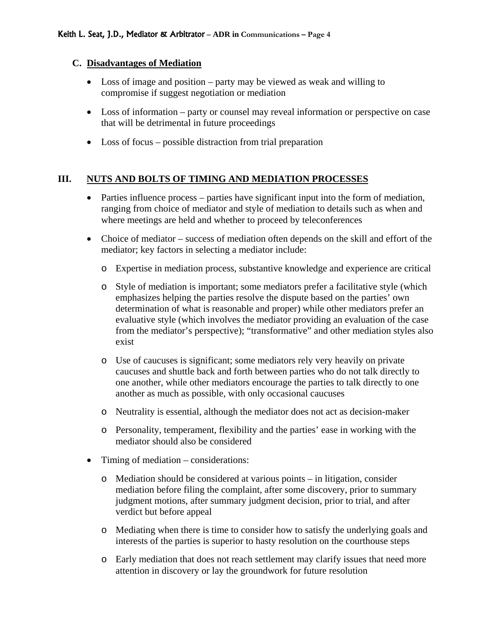#### **C. Disadvantages of Mediation**

- Loss of image and position party may be viewed as weak and willing to compromise if suggest negotiation or mediation
- Loss of information party or counsel may reveal information or perspective on case that will be detrimental in future proceedings
- Loss of focus possible distraction from trial preparation

### **III. NUTS AND BOLTS OF TIMING AND MEDIATION PROCESSES**

- Parties influence process parties have significant input into the form of mediation, ranging from choice of mediator and style of mediation to details such as when and where meetings are held and whether to proceed by teleconferences
- Choice of mediator success of mediation often depends on the skill and effort of the mediator; key factors in selecting a mediator include:
	- o Expertise in mediation process, substantive knowledge and experience are critical
	- o Style of mediation is important; some mediators prefer a facilitative style (which emphasizes helping the parties resolve the dispute based on the parties' own determination of what is reasonable and proper) while other mediators prefer an evaluative style (which involves the mediator providing an evaluation of the case from the mediator's perspective); "transformative" and other mediation styles also exist
	- o Use of caucuses is significant; some mediators rely very heavily on private caucuses and shuttle back and forth between parties who do not talk directly to one another, while other mediators encourage the parties to talk directly to one another as much as possible, with only occasional caucuses
	- o Neutrality is essential, although the mediator does not act as decision-maker
	- o Personality, temperament, flexibility and the parties' ease in working with the mediator should also be considered
- Timing of mediation considerations:
	- o Mediation should be considered at various points in litigation, consider mediation before filing the complaint, after some discovery, prior to summary judgment motions, after summary judgment decision, prior to trial, and after verdict but before appeal
	- o Mediating when there is time to consider how to satisfy the underlying goals and interests of the parties is superior to hasty resolution on the courthouse steps
	- o Early mediation that does not reach settlement may clarify issues that need more attention in discovery or lay the groundwork for future resolution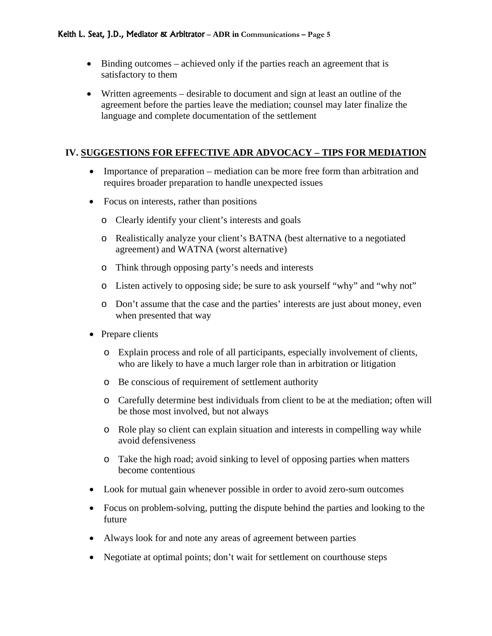- Binding outcomes achieved only if the parties reach an agreement that is satisfactory to them
- Written agreements desirable to document and sign at least an outline of the agreement before the parties leave the mediation; counsel may later finalize the language and complete documentation of the settlement

### **IV. SUGGESTIONS FOR EFFECTIVE ADR ADVOCACY – TIPS FOR MEDIATION**

- Importance of preparation mediation can be more free form than arbitration and requires broader preparation to handle unexpected issues
- Focus on interests, rather than positions
	- o Clearly identify your client's interests and goals
	- o Realistically analyze your client's BATNA (best alternative to a negotiated agreement) and WATNA (worst alternative)
	- o Think through opposing party's needs and interests
	- o Listen actively to opposing side; be sure to ask yourself "why" and "why not"
	- o Don't assume that the case and the parties' interests are just about money, even when presented that way
- Prepare clients
	- o Explain process and role of all participants, especially involvement of clients, who are likely to have a much larger role than in arbitration or litigation
	- o Be conscious of requirement of settlement authority
	- o Carefully determine best individuals from client to be at the mediation; often will be those most involved, but not always
	- o Role play so client can explain situation and interests in compelling way while avoid defensiveness
	- o Take the high road; avoid sinking to level of opposing parties when matters become contentious
- Look for mutual gain whenever possible in order to avoid zero-sum outcomes
- Focus on problem-solving, putting the dispute behind the parties and looking to the future
- Always look for and note any areas of agreement between parties
- Negotiate at optimal points; don't wait for settlement on courthouse steps